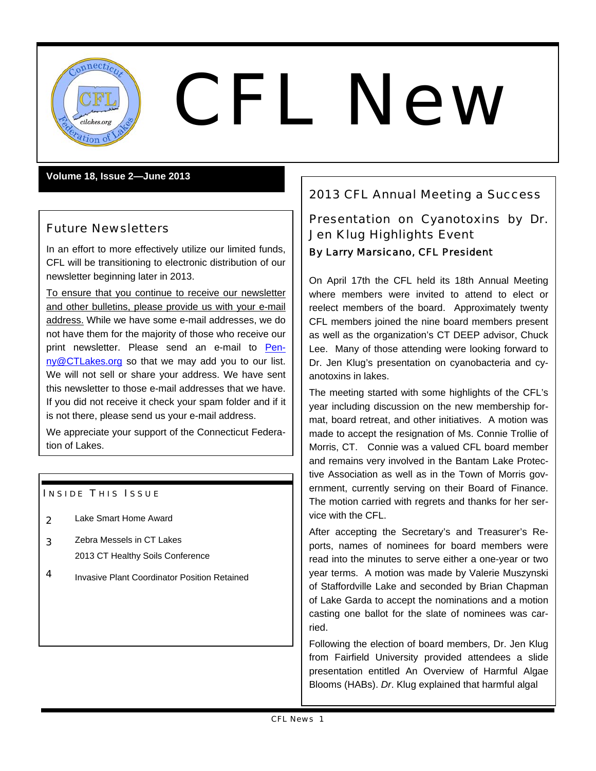

# $\left(\frac{CFL}{\text{values.org}}\right)$

#### **Volume 18, Issue 2—June 2013**

## Future Newsletters

In an effort to more effectively utilize our limited funds, CFL will be transitioning to electronic distribution of our newsletter beginning later in 2013.

To ensure that you continue to receive our newsletter and other bulletins, please provide us with your e-mail address. While we have some e-mail addresses, we do not have them for the majority of those who receive our print newsletter. Please send an e-mail to Penny@CTLakes.org so that we may add you to our list. We will not sell or share your address. We have sent this newsletter to those e-mail addresses that we have. If you did not receive it check your spam folder and if it is not there, please send us your e-mail address.

We appreciate your support of the Connecticut Federation of Lakes.

#### **INSIDE THIS ISSUE**

- 2 Lake Smart Home Award
- 3 Zebra Messels in CT Lakes 2013 CT Healthy Soils Conference
- 4 Invasive Plant Coordinator Position Retained

# 2013 CFL Annual Meeting a Success

# Presentation on Cyanotoxins by Dr. Jen Klug Highlights Event By Larry Marsicano, CFL President

On April 17th the CFL held its 18th Annual Meeting where members were invited to attend to elect or reelect members of the board. Approximately twenty CFL members joined the nine board members present as well as the organization's CT DEEP advisor, Chuck Lee. Many of those attending were looking forward to Dr. Jen Klug's presentation on cyanobacteria and cyanotoxins in lakes.

The meeting started with some highlights of the CFL's year including discussion on the new membership format, board retreat, and other initiatives. A motion was made to accept the resignation of Ms. Connie Trollie of Morris, CT. Connie was a valued CFL board member and remains very involved in the Bantam Lake Protective Association as well as in the Town of Morris government, currently serving on their Board of Finance. The motion carried with regrets and thanks for her service with the CFL.

After accepting the Secretary's and Treasurer's Reports, names of nominees for board members were read into the minutes to serve either a one-year or two year terms. A motion was made by Valerie Muszynski of Staffordville Lake and seconded by Brian Chapman of Lake Garda to accept the nominations and a motion casting one ballot for the slate of nominees was carried.

Following the election of board members, Dr. Jen Klug from Fairfield University provided attendees a slide presentation entitled An Overview of Harmful Algae Blooms (HABs). *Dr*. Klug explained that harmful algal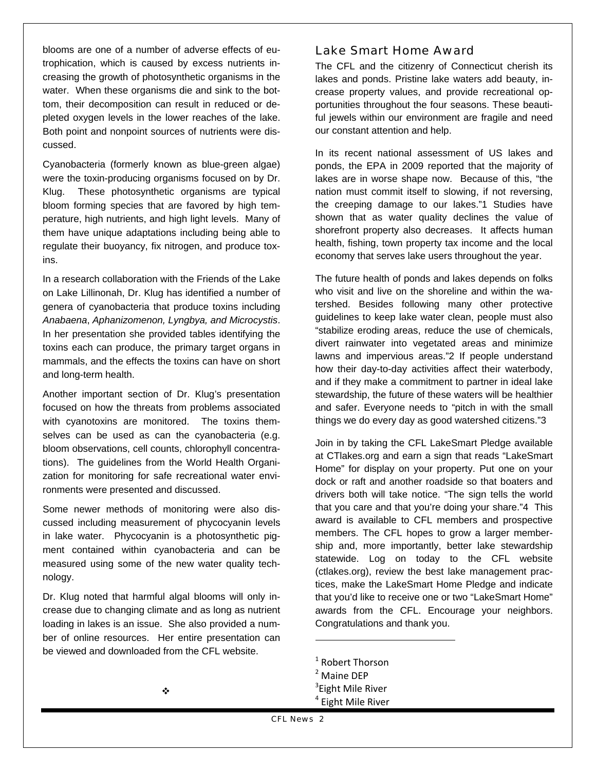blooms are one of a number of adverse effects of eutrophication, which is caused by excess nutrients increasing the growth of photosynthetic organisms in the water. When these organisms die and sink to the bottom, their decomposition can result in reduced or depleted oxygen levels in the lower reaches of the lake. Both point and nonpoint sources of nutrients were discussed.

Cyanobacteria (formerly known as blue-green algae) were the toxin-producing organisms focused on by Dr. Klug. These photosynthetic organisms are typical bloom forming species that are favored by high temperature, high nutrients, and high light levels. Many of them have unique adaptations including being able to regulate their buoyancy, fix nitrogen, and produce toxins.

In a research collaboration with the Friends of the Lake on Lake Lillinonah, Dr. Klug has identified a number of genera of cyanobacteria that produce toxins including *Anabaena*, *Aphanizomenon, Lyngbya, and Microcystis*. In her presentation she provided tables identifying the toxins each can produce, the primary target organs in mammals, and the effects the toxins can have on short and long-term health.

Another important section of Dr. Klug's presentation focused on how the threats from problems associated with cyanotoxins are monitored. The toxins themselves can be used as can the cyanobacteria (e.g. bloom observations, cell counts, chlorophyll concentrations). The guidelines from the World Health Organization for monitoring for safe recreational water environments were presented and discussed.

Some newer methods of monitoring were also discussed including measurement of phycocyanin levels in lake water. Phycocyanin is a photosynthetic pigment contained within cyanobacteria and can be measured using some of the new water quality technology.

Dr. Klug noted that harmful algal blooms will only increase due to changing climate and as long as nutrient loading in lakes is an issue. She also provided a number of online resources. Her entire presentation can be viewed and downloaded from the CFL website.

#### Lake Smart Home Award

The CFL and the citizenry of Connecticut cherish its lakes and ponds. Pristine lake waters add beauty, increase property values, and provide recreational opportunities throughout the four seasons. These beautiful jewels within our environment are fragile and need our constant attention and help.

In its recent national assessment of US lakes and ponds, the EPA in 2009 reported that the majority of lakes are in worse shape now. Because of this, "the nation must commit itself to slowing, if not reversing, the creeping damage to our lakes."1 Studies have shown that as water quality declines the value of shorefront property also decreases. It affects human health, fishing, town property tax income and the local economy that serves lake users throughout the year.

The future health of ponds and lakes depends on folks who visit and live on the shoreline and within the watershed. Besides following many other protective guidelines to keep lake water clean, people must also "stabilize eroding areas, reduce the use of chemicals, divert rainwater into vegetated areas and minimize lawns and impervious areas."2 If people understand how their day-to-day activities affect their waterbody, and if they make a commitment to partner in ideal lake stewardship, the future of these waters will be healthier and safer. Everyone needs to "pitch in with the small things we do every day as good watershed citizens."3

Join in by taking the CFL LakeSmart Pledge available at CTlakes.org and earn a sign that reads "LakeSmart Home" for display on your property. Put one on your dock or raft and another roadside so that boaters and drivers both will take notice. "The sign tells the world that you care and that you're doing your share."4 This award is available to CFL members and prospective members. The CFL hopes to grow a larger membership and, more importantly, better lake stewardship statewide. Log on today to the CFL website (ctlakes.org), review the best lake management practices, make the LakeSmart Home Pledge and indicate that you'd like to receive one or two "LakeSmart Home" awards from the CFL. Encourage your neighbors. Congratulations and thank you.

 $\overline{a}$ 

 $<sup>1</sup>$  Robert Thorson</sup>

<sup>&</sup>lt;sup>2</sup> Maine DEP

<sup>&</sup>lt;sup>3</sup>Eight Mile River

<sup>&</sup>lt;sup>4</sup> Eight Mile River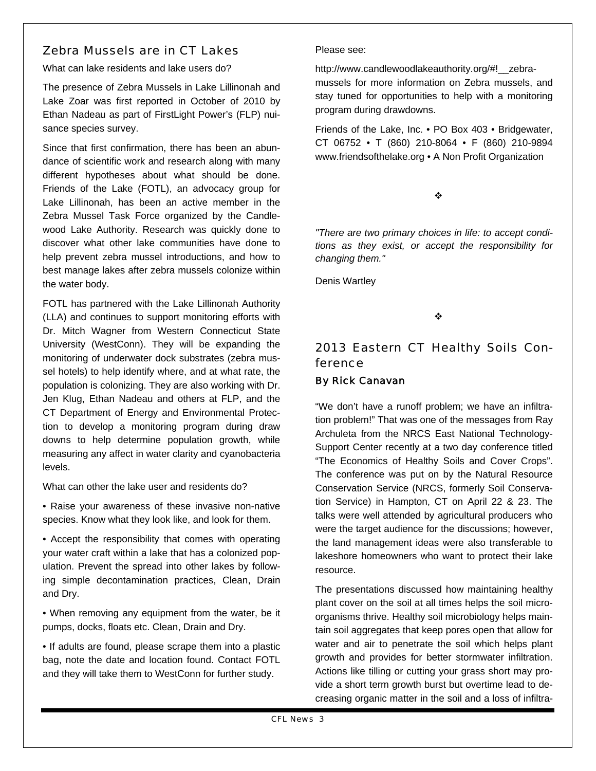## Zebra Mussels are in CT Lakes

What can lake residents and lake users do?

The presence of Zebra Mussels in Lake Lillinonah and Lake Zoar was first reported in October of 2010 by Ethan Nadeau as part of FirstLight Power's (FLP) nuisance species survey.

Since that first confirmation, there has been an abundance of scientific work and research along with many different hypotheses about what should be done. Friends of the Lake (FOTL), an advocacy group for Lake Lillinonah, has been an active member in the Zebra Mussel Task Force organized by the Candlewood Lake Authority. Research was quickly done to discover what other lake communities have done to help prevent zebra mussel introductions, and how to best manage lakes after zebra mussels colonize within the water body.

FOTL has partnered with the Lake Lillinonah Authority (LLA) and continues to support monitoring efforts with Dr. Mitch Wagner from Western Connecticut State University (WestConn). They will be expanding the monitoring of underwater dock substrates (zebra mussel hotels) to help identify where, and at what rate, the population is colonizing. They are also working with Dr. Jen Klug, Ethan Nadeau and others at FLP, and the CT Department of Energy and Environmental Protection to develop a monitoring program during draw downs to help determine population growth, while measuring any affect in water clarity and cyanobacteria levels.

What can other the lake user and residents do?

• Raise your awareness of these invasive non-native species. Know what they look like, and look for them.

• Accept the responsibility that comes with operating your water craft within a lake that has a colonized population. Prevent the spread into other lakes by following simple decontamination practices, Clean, Drain and Dry.

• When removing any equipment from the water, be it pumps, docks, floats etc. Clean, Drain and Dry.

• If adults are found, please scrape them into a plastic bag, note the date and location found. Contact FOTL and they will take them to WestConn for further study.

#### Please see:

http://www.candlewoodlakeauthority.org/#!\_\_zebramussels for more information on Zebra mussels, and stay tuned for opportunities to help with a monitoring program during drawdowns.

Friends of the Lake, Inc. • PO Box 403 • Bridgewater, CT 06752 • T (860) 210-8064 • F (860) 210-9894 www.friendsofthelake.org • A Non Profit Organization

❖

*"There are two primary choices in life: to accept conditions as they exist, or accept the responsibility for changing them."* 

Denis Wartley

❖

## 2013 Eastern CT Healthy Soils Conference

#### By Rick Canavan

"We don't have a runoff problem; we have an infiltration problem!" That was one of the messages from Ray Archuleta from the NRCS East National Technology-Support Center recently at a two day conference titled "The Economics of Healthy Soils and Cover Crops". The conference was put on by the Natural Resource Conservation Service (NRCS, formerly Soil Conservation Service) in Hampton, CT on April 22 & 23. The talks were well attended by agricultural producers who were the target audience for the discussions; however, the land management ideas were also transferable to lakeshore homeowners who want to protect their lake resource.

The presentations discussed how maintaining healthy plant cover on the soil at all times helps the soil microorganisms thrive. Healthy soil microbiology helps maintain soil aggregates that keep pores open that allow for water and air to penetrate the soil which helps plant growth and provides for better stormwater infiltration. Actions like tilling or cutting your grass short may provide a short term growth burst but overtime lead to decreasing organic matter in the soil and a loss of infiltra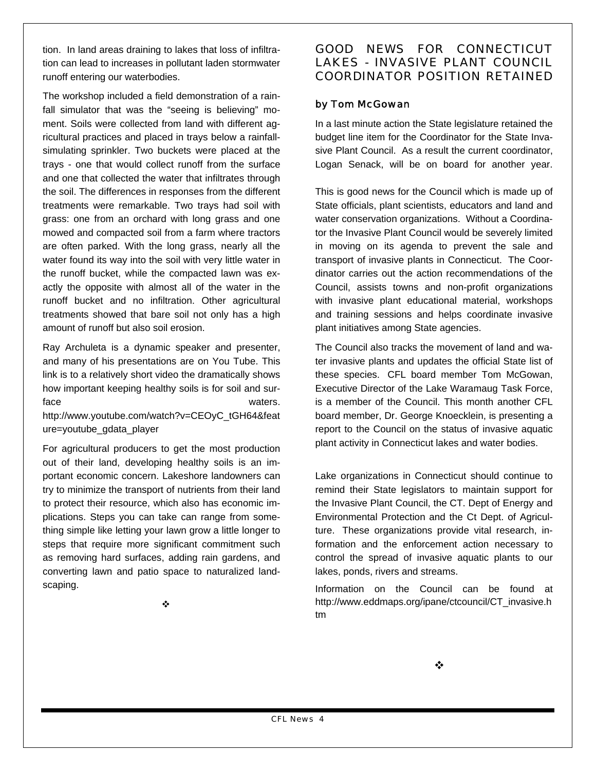tion. In land areas draining to lakes that loss of infiltration can lead to increases in pollutant laden stormwater runoff entering our waterbodies.

The workshop included a field demonstration of a rainfall simulator that was the "seeing is believing" moment. Soils were collected from land with different agricultural practices and placed in trays below a rainfallsimulating sprinkler. Two buckets were placed at the trays - one that would collect runoff from the surface and one that collected the water that infiltrates through the soil. The differences in responses from the different treatments were remarkable. Two trays had soil with grass: one from an orchard with long grass and one mowed and compacted soil from a farm where tractors are often parked. With the long grass, nearly all the water found its way into the soil with very little water in the runoff bucket, while the compacted lawn was exactly the opposite with almost all of the water in the runoff bucket and no infiltration. Other agricultural treatments showed that bare soil not only has a high amount of runoff but also soil erosion.

Ray Archuleta is a dynamic speaker and presenter, and many of his presentations are on You Tube. This link is to a relatively short video the dramatically shows how important keeping healthy soils is for soil and surface waters.

http://www.youtube.com/watch?v=CEOyC\_tGH64&feat ure=youtube\_gdata\_player

For agricultural producers to get the most production out of their land, developing healthy soils is an important economic concern. Lakeshore landowners can try to minimize the transport of nutrients from their land to protect their resource, which also has economic implications. Steps you can take can range from something simple like letting your lawn grow a little longer to steps that require more significant commitment such as removing hard surfaces, adding rain gardens, and converting lawn and patio space to naturalized landscaping.

#### ÷

#### GOOD NEWS FOR CONNECTICUT LAKES - INVASIVE PLANT COUNCIL COORDINATOR POSITION RETAINED

### by Tom McGowan

In a last minute action the State legislature retained the budget line item for the Coordinator for the State Invasive Plant Council. As a result the current coordinator, Logan Senack, will be on board for another year.

This is good news for the Council which is made up of State officials, plant scientists, educators and land and water conservation organizations. Without a Coordinator the Invasive Plant Council would be severely limited in moving on its agenda to prevent the sale and transport of invasive plants in Connecticut. The Coordinator carries out the action recommendations of the Council, assists towns and non-profit organizations with invasive plant educational material, workshops and training sessions and helps coordinate invasive plant initiatives among State agencies.

The Council also tracks the movement of land and water invasive plants and updates the official State list of these species. CFL board member Tom McGowan, Executive Director of the Lake Waramaug Task Force, is a member of the Council. This month another CFL board member, Dr. George Knoecklein, is presenting a report to the Council on the status of invasive aquatic plant activity in Connecticut lakes and water bodies.

Lake organizations in Connecticut should continue to remind their State legislators to maintain support for the Invasive Plant Council, the CT. Dept of Energy and Environmental Protection and the Ct Dept. of Agriculture. These organizations provide vital research, information and the enforcement action necessary to control the spread of invasive aquatic plants to our lakes, ponds, rivers and streams.

Information on the Council can be found at http://www.eddmaps.org/ipane/ctcouncil/CT\_invasive.h tm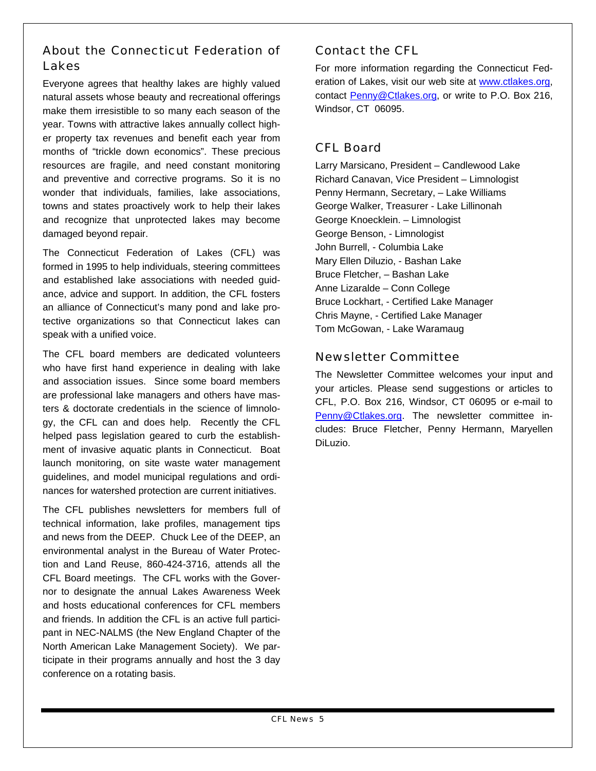## About the Connecticut Federation of Lakes

Everyone agrees that healthy lakes are highly valued natural assets whose beauty and recreational offerings make them irresistible to so many each season of the year. Towns with attractive lakes annually collect higher property tax revenues and benefit each year from months of "trickle down economics". These precious resources are fragile, and need constant monitoring and preventive and corrective programs. So it is no wonder that individuals, families, lake associations, towns and states proactively work to help their lakes and recognize that unprotected lakes may become damaged beyond repair.

The Connecticut Federation of Lakes (CFL) was formed in 1995 to help individuals, steering committees and established lake associations with needed guidance, advice and support. In addition, the CFL fosters an alliance of Connecticut's many pond and lake protective organizations so that Connecticut lakes can speak with a unified voice.

The CFL board members are dedicated volunteers who have first hand experience in dealing with lake and association issues. Since some board members are professional lake managers and others have masters & doctorate credentials in the science of limnology, the CFL can and does help. Recently the CFL helped pass legislation geared to curb the establishment of invasive aquatic plants in Connecticut. Boat launch monitoring, on site waste water management guidelines, and model municipal regulations and ordinances for watershed protection are current initiatives.

The CFL publishes newsletters for members full of technical information, lake profiles, management tips and news from the DEEP. Chuck Lee of the DEEP, an environmental analyst in the Bureau of Water Protection and Land Reuse, 860-424-3716, attends all the CFL Board meetings. The CFL works with the Governor to designate the annual Lakes Awareness Week and hosts educational conferences for CFL members and friends. In addition the CFL is an active full participant in NEC-NALMS (the New England Chapter of the North American Lake Management Society). We participate in their programs annually and host the 3 day conference on a rotating basis.

# Contact the CFL

For more information regarding the Connecticut Federation of Lakes, visit our web site at www.ctlakes.org, contact Penny@Ctlakes.org, or write to P.O. Box 216, Windsor, CT 06095.

# CFL Board

Larry Marsicano, President – Candlewood Lake Richard Canavan, Vice President – Limnologist Penny Hermann, Secretary, – Lake Williams George Walker, Treasurer - Lake Lillinonah George Knoecklein. – Limnologist George Benson, - Limnologist John Burrell, - Columbia Lake Mary Ellen Diluzio, - Bashan Lake Bruce Fletcher, – Bashan Lake Anne Lizaralde – Conn College Bruce Lockhart, - Certified Lake Manager Chris Mayne, - Certified Lake Manager Tom McGowan, - Lake Waramaug

## Newsletter Committee

The Newsletter Committee welcomes your input and your articles. Please send suggestions or articles to CFL, P.O. Box 216, Windsor, CT 06095 or e-mail to Penny@Ctlakes.org. The newsletter committee includes: Bruce Fletcher, Penny Hermann, Maryellen DiLuzio.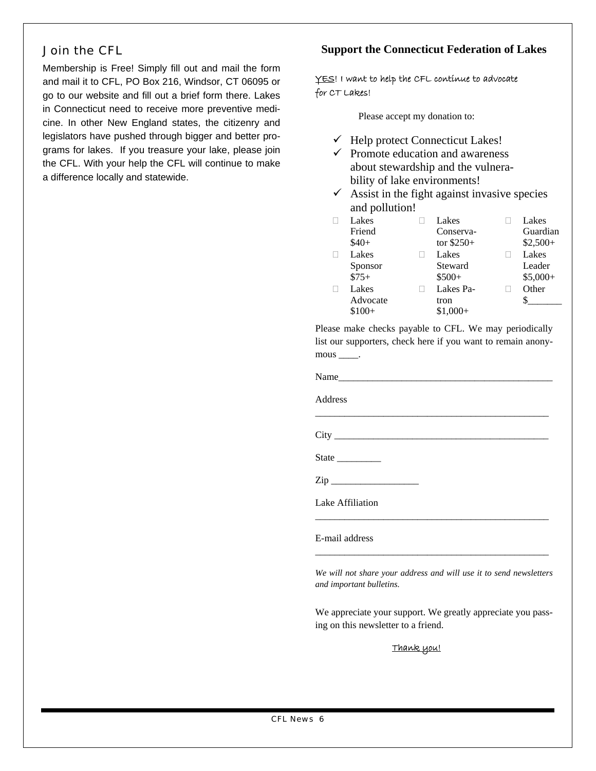## Join the CFL

Membership is Free! Simply fill out and mail the form and mail it to CFL, PO Box 216, Windsor, CT 06095 or go to our website and fill out a brief form there. Lakes in Connecticut need to receive more preventive medicine. In other New England states, the citizenry and legislators have pushed through bigger and better programs for lakes. If you treasure your lake, please join the CFL. With your help the CFL will continue to make a difference locally and statewide.

#### **Support the Connecticut Federation of Lakes**

#### YES! I want to help the CFL continue to advocate for CT Lakes!

Please accept my donation to:

- $\checkmark$  Help protect Connecticut Lakes!
- $\checkmark$  Promote education and awareness about stewardship and the vulnerability of lake environments!
- $\checkmark$  Assist in the fight against invasive species and pollution!

| Lakes    | Lakes       | Lakes     |
|----------|-------------|-----------|
| Friend   | Conserva-   | Guardian  |
| $$40+$   | tor $$250+$ | $$2,500+$ |
| Lakes    | Lakes       | Lakes     |
| Sponsor  | Steward     | Leader    |
| $$75+$   | $$500+$     | $$5,000+$ |
| Lakes    | Lakes Pa-   | Other     |
| Advocate | tron        |           |
| $$100+$  | $$1.000+$   |           |

Please make checks payable to CFL. We may periodically list our supporters, check here if you want to remain anonymous \_\_\_\_\_.

| Name |  |  |  |
|------|--|--|--|
|      |  |  |  |
|      |  |  |  |

\_\_\_\_\_\_\_\_\_\_\_\_\_\_\_\_\_\_\_\_\_\_\_\_\_\_\_\_\_\_\_\_\_\_\_\_\_\_\_\_\_\_\_\_\_\_\_\_

Address

City \_\_\_\_\_\_\_\_\_\_\_\_\_\_\_\_\_\_\_\_\_\_\_\_\_\_\_\_\_\_\_\_\_\_\_\_\_\_\_\_\_\_\_\_

State  $\Box$ 

 $\mathbf{Zip}$ 

Lake Affiliation

E-mail address

*We will not share your address and will use it to send newsletters and important bulletins.* 

\_\_\_\_\_\_\_\_\_\_\_\_\_\_\_\_\_\_\_\_\_\_\_\_\_\_\_\_\_\_\_\_\_\_\_\_\_\_\_\_\_\_\_\_\_\_\_\_

\_\_\_\_\_\_\_\_\_\_\_\_\_\_\_\_\_\_\_\_\_\_\_\_\_\_\_\_\_\_\_\_\_\_\_\_\_\_\_\_\_\_\_\_\_\_\_\_

We appreciate your support. We greatly appreciate you passing on this newsletter to a friend.

Thank you!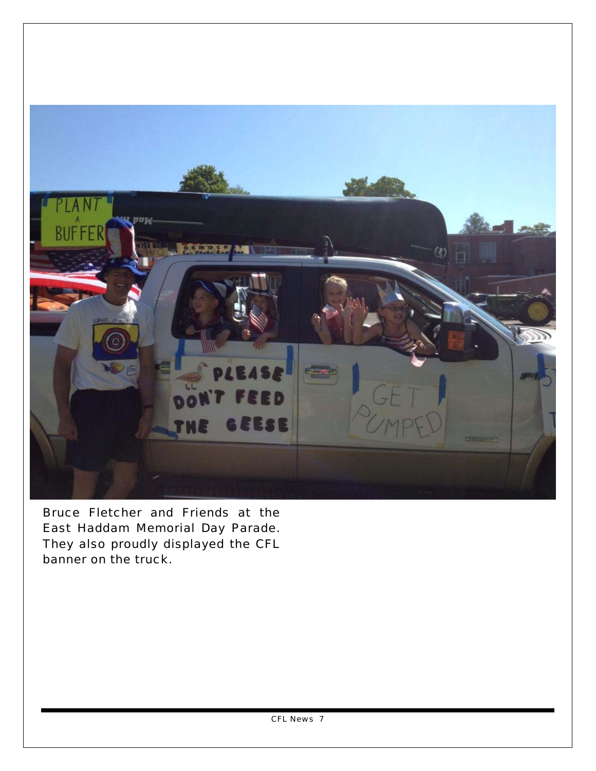

Bruce Fletcher and Friends at the East Haddam Memorial Day Parade. They also proudly displayed the CFL banner on the truck.